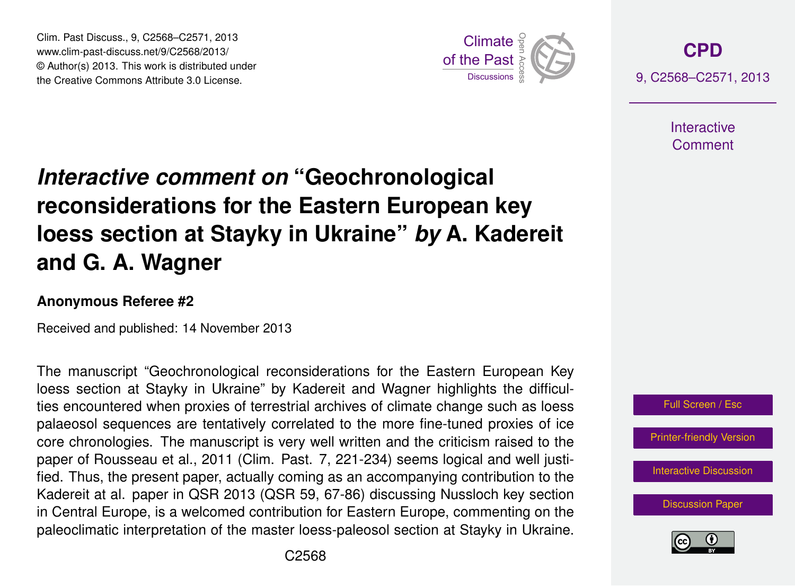Clim. Past Discuss., 9, C2568–C2571, 2013 www.clim-past-discuss.net/9/C2568/2013/  $\circledcirc$  Author(s) 2013. This work is distributed under the Creative Commons Attribute 3.0 License.  $\frac{2}{\pi}$ 



**[CPD](http://www.clim-past-discuss.net)** 9, C2568–C2571, 2013

> **Interactive** Comment

## *Interactive comment on* "Geochronological hne for th where  $\ddot{ }$ loess section at Stayky in Ukraine" *by* A. Kadereit  $\epsilon$ mnean ke reconsiderations for the Eastern European key )<br>C **and G. A. Wagner**

## Anonymous Referee #2

Received and published: 14 November 2013

Earth System olugical it<br>المعشود ال c Earth System The manuscript "Geochronological reconsiderations for the Eastern European Key oe<br> loess section at Stayky in Ukraine" by Kadereit and Wagner highlights the difficulparabode: begabined are termatively correlated to the more line tarica premise or led<br>core chronologies. The manuscript is very well written and the criticism raised to the O<br>O<br>C e<br>م palaeosol sequences are tentatively correlated to the more fine-tuned proxies of ice in Central Europe, is a welcomed contribution for Eastern Europe, commenting on the S<br>ʻil<br>te y<br>ng<br>l Kadereit at al. paper in QSR 2013 (QSR 59, 67-86) discussing Nussloch key section ties encountered when proxies of terrestrial archives of climate change such as loess paper of Rousseau et al., 2011 (Clim. Past. 7, 221-234) seems logical and well justified. Thus, the present paper, actually coming as an accompanying contribution to the paleoclimatic interpretation of the master loess-paleosol section at Stayky in Ukraine.





Open Access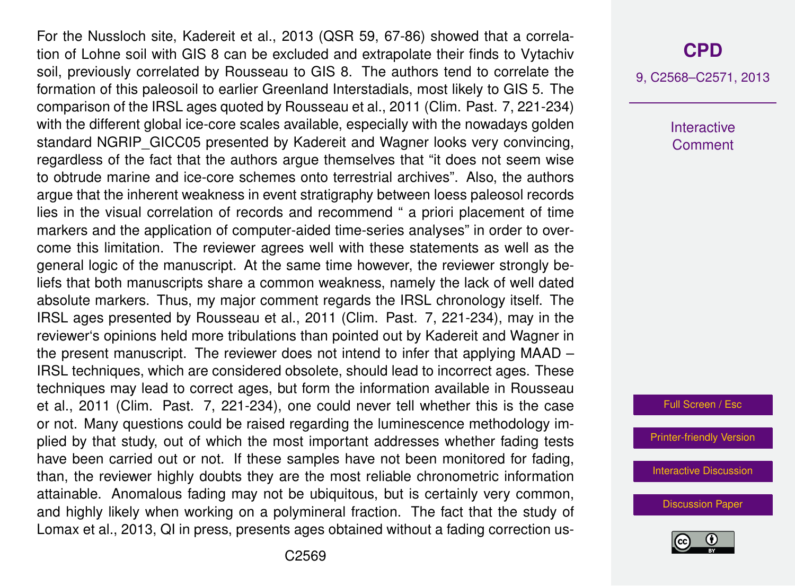For the Nussloch site, Kadereit et al., 2013 (QSR 59, 67-86) showed that a correlation of Lohne soil with GIS 8 can be excluded and extrapolate their finds to Vytachiv soil, previously correlated by Rousseau to GIS 8. The authors tend to correlate the formation of this paleosoil to earlier Greenland Interstadials, most likely to GIS 5. The comparison of the IRSL ages quoted by Rousseau et al., 2011 (Clim. Past. 7, 221-234) with the different global ice-core scales available, especially with the nowadays golden standard NGRIP\_GICC05 presented by Kadereit and Wagner looks very convincing, regardless of the fact that the authors argue themselves that "it does not seem wise to obtrude marine and ice-core schemes onto terrestrial archives". Also, the authors argue that the inherent weakness in event stratigraphy between loess paleosol records lies in the visual correlation of records and recommend " a priori placement of time markers and the application of computer-aided time-series analyses" in order to overcome this limitation. The reviewer agrees well with these statements as well as the general logic of the manuscript. At the same time however, the reviewer strongly beliefs that both manuscripts share a common weakness, namely the lack of well dated absolute markers. Thus, my major comment regards the IRSL chronology itself. The IRSL ages presented by Rousseau et al., 2011 (Clim. Past. 7, 221-234), may in the reviewer's opinions held more tribulations than pointed out by Kadereit and Wagner in the present manuscript. The reviewer does not intend to infer that applying MAAD – IRSL techniques, which are considered obsolete, should lead to incorrect ages. These techniques may lead to correct ages, but form the information available in Rousseau et al., 2011 (Clim. Past. 7, 221-234), one could never tell whether this is the case or not. Many questions could be raised regarding the luminescence methodology implied by that study, out of which the most important addresses whether fading tests have been carried out or not. If these samples have not been monitored for fading, than, the reviewer highly doubts they are the most reliable chronometric information attainable. Anomalous fading may not be ubiquitous, but is certainly very common, and highly likely when working on a polymineral fraction. The fact that the study of Lomax et al., 2013, QI in press, presents ages obtained without a fading correction us-

9, C2568–C2571, 2013

**Interactive Comment** 

Full Screen / Esc

[Printer-friendly Version](http://www.clim-past-discuss.net/9/C2568/2013/cpd-9-C2568-2013-print.pdf)

[Interactive Discussion](http://www.clim-past-discuss.net/9/2629/2013/cpd-9-2629-2013-discussion.html)

[Discussion Paper](http://www.clim-past-discuss.net/9/2629/2013/cpd-9-2629-2013.pdf)

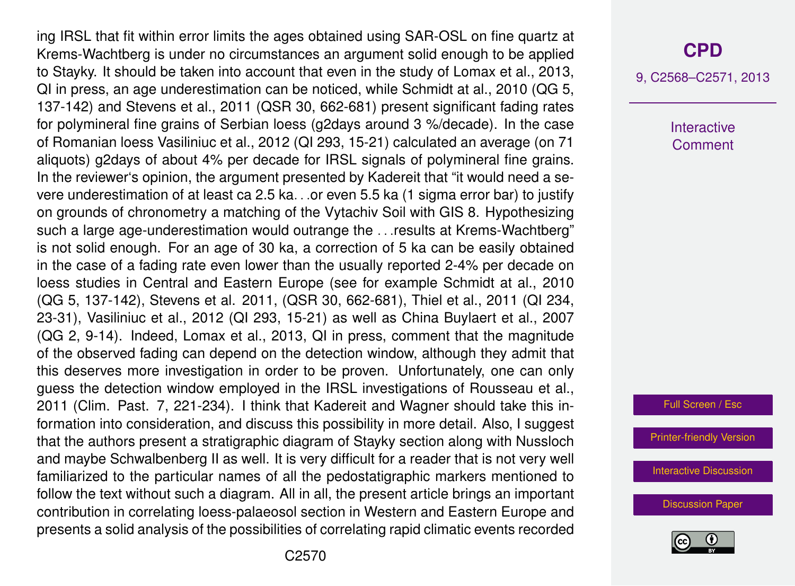ing IRSL that fit within error limits the ages obtained using SAR-OSL on fine quartz at Krems-Wachtberg is under no circumstances an argument solid enough to be applied to Stayky. It should be taken into account that even in the study of Lomax et al., 2013, QI in press, an age underestimation can be noticed, while Schmidt at al., 2010 (QG 5, 137-142) and Stevens et al., 2011 (QSR 30, 662-681) present significant fading rates for polymineral fine grains of Serbian loess (g2days around 3 %/decade). In the case of Romanian loess Vasiliniuc et al., 2012 (QI 293, 15-21) calculated an average (on 71 aliquots) g2days of about 4% per decade for IRSL signals of polymineral fine grains. In the reviewer's opinion, the argument presented by Kadereit that "it would need a severe underestimation of at least ca 2.5 ka. . .or even 5.5 ka (1 sigma error bar) to justify on grounds of chronometry a matching of the Vytachiv Soil with GIS 8. Hypothesizing such a large age-underestimation would outrange the . . .results at Krems-Wachtberg" is not solid enough. For an age of 30 ka, a correction of 5 ka can be easily obtained in the case of a fading rate even lower than the usually reported 2-4% per decade on loess studies in Central and Eastern Europe (see for example Schmidt at al., 2010 (QG 5, 137-142), Stevens et al. 2011, (QSR 30, 662-681), Thiel et al., 2011 (QI 234, 23-31), Vasiliniuc et al., 2012 (QI 293, 15-21) as well as China Buylaert et al., 2007 (QG 2, 9-14). Indeed, Lomax et al., 2013, QI in press, comment that the magnitude of the observed fading can depend on the detection window, although they admit that this deserves more investigation in order to be proven. Unfortunately, one can only guess the detection window employed in the IRSL investigations of Rousseau et al., 2011 (Clim. Past. 7, 221-234). I think that Kadereit and Wagner should take this information into consideration, and discuss this possibility in more detail. Also, I suggest that the authors present a stratigraphic diagram of Stayky section along with Nussloch and maybe Schwalbenberg II as well. It is very difficult for a reader that is not very well familiarized to the particular names of all the pedostatigraphic markers mentioned to follow the text without such a diagram. All in all, the present article brings an important contribution in correlating loess-palaeosol section in Western and Eastern Europe and presents a solid analysis of the possibilities of correlating rapid climatic events recorded

## **[CPD](http://www.clim-past-discuss.net)**

9, C2568–C2571, 2013

Interactive **Comment** 

Full Screen / Esc

[Printer-friendly Version](http://www.clim-past-discuss.net/9/C2568/2013/cpd-9-C2568-2013-print.pdf)

[Interactive Discussion](http://www.clim-past-discuss.net/9/2629/2013/cpd-9-2629-2013-discussion.html)

[Discussion Paper](http://www.clim-past-discuss.net/9/2629/2013/cpd-9-2629-2013.pdf)